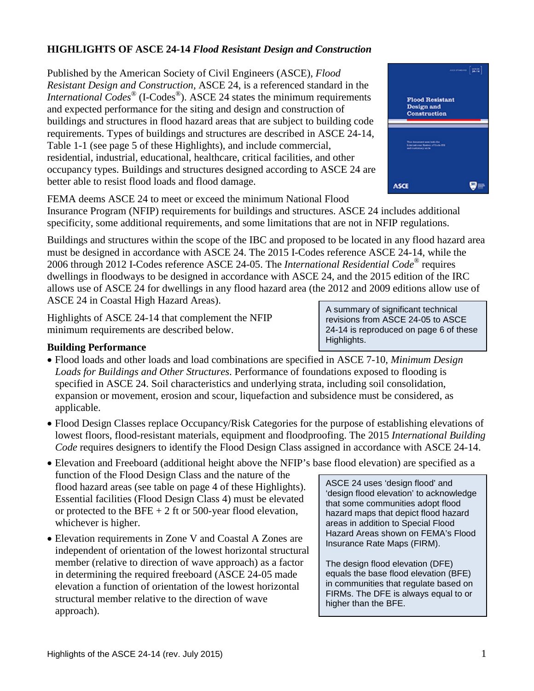# **HIGHLIGHTS OF ASCE 24-14** *Flood Resistant Design and Construction*

Published by the American Society of Civil Engineers (ASCE), *Flood Resistant Design and Construction,* ASCE 24, is a referenced standard in the *International Codes*<sup>®</sup> (I-Codes<sup>®</sup>). ASCE 24 states the minimum requirements and expected performance for the siting and design and construction of buildings and structures in flood hazard areas that are subject to building code requirements. Types of buildings and structures are described in ASCE 24-14, Table 1-1 (see page 5 of these Highlights), and include commercial, residential, industrial, educational, healthcare, critical facilities, and other occupancy types. Buildings and structures designed according to ASCE 24 are better able to resist flood loads and flood damage.



FEMA deems ASCE 24 to meet or exceed the minimum National Flood

Insurance Program (NFIP) requirements for buildings and structures. ASCE 24 includes additional specificity, some additional requirements, and some limitations that are not in NFIP regulations.

Buildings and structures within the scope of the IBC and proposed to be located in any flood hazard area must be designed in accordance with ASCE 24. The 2015 I-Codes reference ASCE 24-14, while the 2006 through 2012 I-Codes reference ASCE 24-05. The *International Residential Code*® requires dwellings in floodways to be designed in accordance with ASCE 24, and the 2015 edition of the IRC allows use of ASCE 24 for dwellings in any flood hazard area (the 2012 and 2009 editions allow use of ASCE 24 in Coastal High Hazard Areas).

Highlights of ASCE 24-14 that complement the NFIP minimum requirements are described below.

#### **Building Performance**

- Flood loads and other loads and load combinations are specified in ASCE 7-10, *Minimum Design Loads for Buildings and Other Structures*. Performance of foundations exposed to flooding is specified in ASCE 24. Soil characteristics and underlying strata, including soil consolidation, expansion or movement, erosion and scour, liquefaction and subsidence must be considered, as applicable.
- Flood Design Classes replace Occupancy/Risk Categories for the purpose of establishing elevations of lowest floors, flood-resistant materials, equipment and floodproofing. The 2015 *International Building Code* requires designers to identify the Flood Design Class assigned in accordance with ASCE 24-14.
- Elevation and Freeboard (additional height above the NFIP's base flood elevation) are specified as a function of the Flood Design Class and the nature of the flood hazard areas (see table on page 4 of these Highlights). Essential facilities (Flood Design Class 4) must be elevated or protected to the BFE  $+ 2$  ft or 500-year flood elevation, whichever is higher.
- Elevation requirements in Zone V and Coastal A Zones are independent of orientation of the lowest horizontal structural member (relative to direction of wave approach) as a factor in determining the required freeboard (ASCE 24-05 made elevation a function of orientation of the lowest horizontal structural member relative to the direction of wave approach).

ASCE 24 uses 'design flood' and 'design flood elevation' to acknowledge that some communities adopt flood hazard maps that depict flood hazard areas in addition to Special Flood Hazard Areas shown on FEMA's Flood Insurance Rate Maps (FIRM).

The design flood elevation (DFE) equals the base flood elevation (BFE) in communities that regulate based on FIRMs. The DFE is always equal to or higher than the BFE.

A summary of significant technical revisions from ASCE 24-05 to ASCE 24-14 is reproduced on page 6 of these Highlights.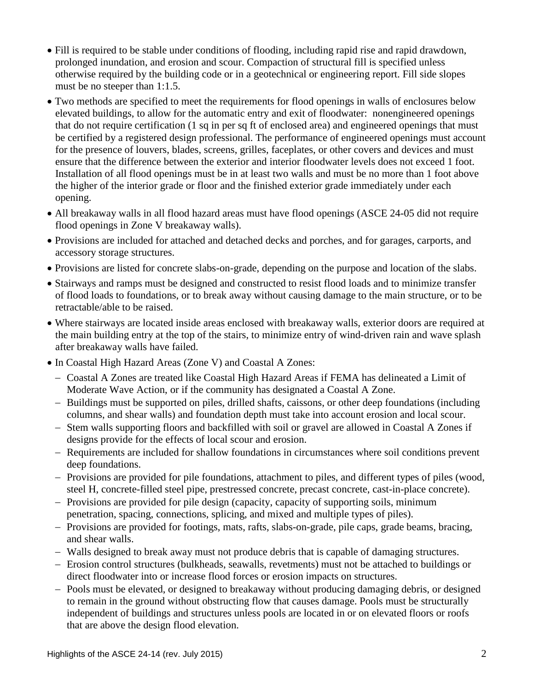- Fill is required to be stable under conditions of flooding, including rapid rise and rapid drawdown, prolonged inundation, and erosion and scour. Compaction of structural fill is specified unless otherwise required by the building code or in a geotechnical or engineering report. Fill side slopes must be no steeper than 1:1.5.
- Two methods are specified to meet the requirements for flood openings in walls of enclosures below elevated buildings, to allow for the automatic entry and exit of floodwater: nonengineered openings that do not require certification (1 sq in per sq ft of enclosed area) and engineered openings that must be certified by a registered design professional. The performance of engineered openings must account for the presence of louvers, blades, screens, grilles, faceplates, or other covers and devices and must ensure that the difference between the exterior and interior floodwater levels does not exceed 1 foot. Installation of all flood openings must be in at least two walls and must be no more than 1 foot above the higher of the interior grade or floor and the finished exterior grade immediately under each opening.
- All breakaway walls in all flood hazard areas must have flood openings (ASCE 24-05 did not require flood openings in Zone V breakaway walls).
- Provisions are included for attached and detached decks and porches, and for garages, carports, and accessory storage structures.
- Provisions are listed for concrete slabs-on-grade, depending on the purpose and location of the slabs.
- Stairways and ramps must be designed and constructed to resist flood loads and to minimize transfer of flood loads to foundations, or to break away without causing damage to the main structure, or to be retractable/able to be raised.
- Where stairways are located inside areas enclosed with breakaway walls, exterior doors are required at the main building entry at the top of the stairs, to minimize entry of wind-driven rain and wave splash after breakaway walls have failed.
- In Coastal High Hazard Areas (Zone V) and Coastal A Zones:
	- − Coastal A Zones are treated like Coastal High Hazard Areas if FEMA has delineated a Limit of Moderate Wave Action, or if the community has designated a Coastal A Zone.
	- − Buildings must be supported on piles, drilled shafts, caissons, or other deep foundations (including columns, and shear walls) and foundation depth must take into account erosion and local scour.
	- − Stem walls supporting floors and backfilled with soil or gravel are allowed in Coastal A Zones if designs provide for the effects of local scour and erosion.
	- − Requirements are included for shallow foundations in circumstances where soil conditions prevent deep foundations.
	- − Provisions are provided for pile foundations, attachment to piles, and different types of piles (wood, steel H, concrete-filled steel pipe, prestressed concrete, precast concrete, cast-in-place concrete).
	- − Provisions are provided for pile design (capacity, capacity of supporting soils, minimum penetration, spacing, connections, splicing, and mixed and multiple types of piles).
	- − Provisions are provided for footings, mats, rafts, slabs-on-grade, pile caps, grade beams, bracing, and shear walls.
	- − Walls designed to break away must not produce debris that is capable of damaging structures.
	- − Erosion control structures (bulkheads, seawalls, revetments) must not be attached to buildings or direct floodwater into or increase flood forces or erosion impacts on structures.
	- − Pools must be elevated, or designed to breakaway without producing damaging debris, or designed to remain in the ground without obstructing flow that causes damage. Pools must be structurally independent of buildings and structures unless pools are located in or on elevated floors or roofs that are above the design flood elevation.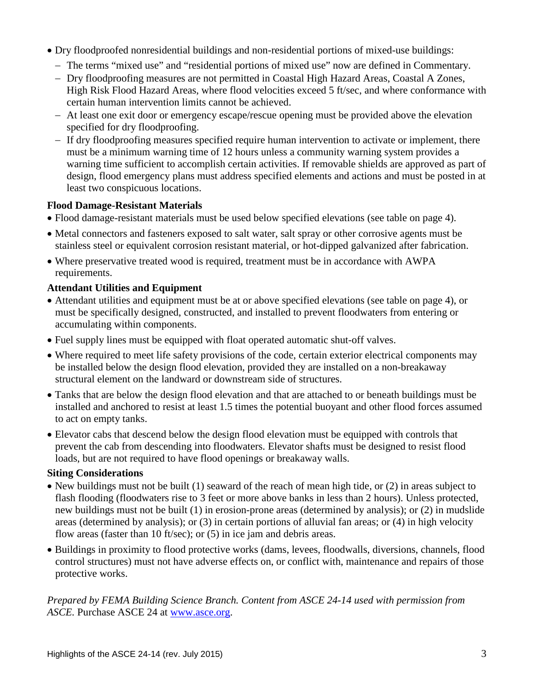- Dry floodproofed nonresidential buildings and non-residential portions of mixed-use buildings:
	- − The terms "mixed use" and "residential portions of mixed use" now are defined in Commentary.
	- − Dry floodproofing measures are not permitted in Coastal High Hazard Areas, Coastal A Zones, High Risk Flood Hazard Areas, where flood velocities exceed 5 ft/sec, and where conformance with certain human intervention limits cannot be achieved.
	- − At least one exit door or emergency escape/rescue opening must be provided above the elevation specified for dry floodproofing.
	- − If dry floodproofing measures specified require human intervention to activate or implement, there must be a minimum warning time of 12 hours unless a community warning system provides a warning time sufficient to accomplish certain activities. If removable shields are approved as part of design, flood emergency plans must address specified elements and actions and must be posted in at least two conspicuous locations.

## **Flood Damage-Resistant Materials**

- Flood damage-resistant materials must be used below specified elevations (see table on page 4).
- Metal connectors and fasteners exposed to salt water, salt spray or other corrosive agents must be stainless steel or equivalent corrosion resistant material, or hot-dipped galvanized after fabrication.
- Where preservative treated wood is required, treatment must be in accordance with AWPA requirements.

#### **Attendant Utilities and Equipment**

- Attendant utilities and equipment must be at or above specified elevations (see table on page 4), or must be specifically designed, constructed, and installed to prevent floodwaters from entering or accumulating within components.
- Fuel supply lines must be equipped with float operated automatic shut-off valves.
- Where required to meet life safety provisions of the code, certain exterior electrical components may be installed below the design flood elevation, provided they are installed on a non-breakaway structural element on the landward or downstream side of structures.
- Tanks that are below the design flood elevation and that are attached to or beneath buildings must be installed and anchored to resist at least 1.5 times the potential buoyant and other flood forces assumed to act on empty tanks.
- Elevator cabs that descend below the design flood elevation must be equipped with controls that prevent the cab from descending into floodwaters. Elevator shafts must be designed to resist flood loads, but are not required to have flood openings or breakaway walls.

## **Siting Considerations**

- New buildings must not be built (1) seaward of the reach of mean high tide, or (2) in areas subject to flash flooding (floodwaters rise to 3 feet or more above banks in less than 2 hours). Unless protected, new buildings must not be built (1) in erosion-prone areas (determined by analysis); or (2) in mudslide areas (determined by analysis); or (3) in certain portions of alluvial fan areas; or (4) in high velocity flow areas (faster than 10 ft/sec); or (5) in ice jam and debris areas.
- Buildings in proximity to flood protective works (dams, levees, floodwalls, diversions, channels, flood control structures) must not have adverse effects on, or conflict with, maintenance and repairs of those protective works.

*Prepared by FEMA Building Science Branch. Content from ASCE 24-14 used with permission from ASCE.* Purchase ASCE 24 at [www.asce.org.](http://www.asce.org/)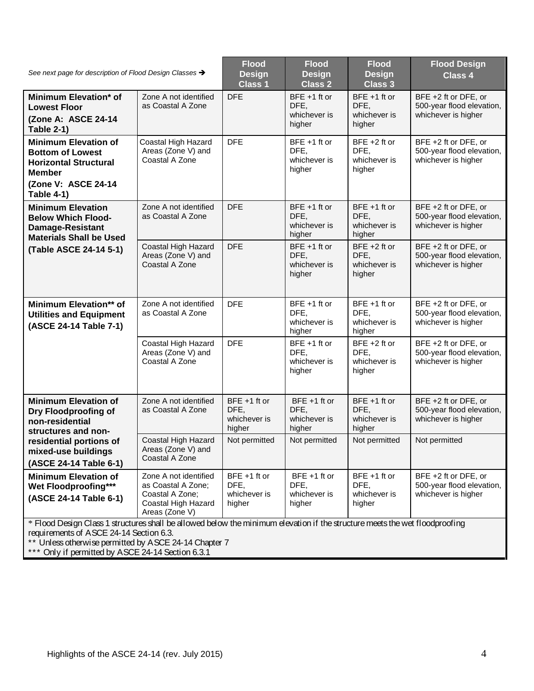| See next page for description of Flood Design Classes →                                                                                                                                                                                                                              |                                                                                                         | <b>Flood</b><br><b>Design</b><br><b>Class 1</b>   | <b>Flood</b><br><b>Design</b><br><b>Class 2</b>   | <b>Flood</b><br><b>Design</b><br><b>Class 3</b>   | <b>Flood Design</b><br><b>Class 4</b>                                    |  |
|--------------------------------------------------------------------------------------------------------------------------------------------------------------------------------------------------------------------------------------------------------------------------------------|---------------------------------------------------------------------------------------------------------|---------------------------------------------------|---------------------------------------------------|---------------------------------------------------|--------------------------------------------------------------------------|--|
| Minimum Elevation* of<br><b>Lowest Floor</b><br>(Zone A: ASCE 24-14<br><b>Table 2-1)</b>                                                                                                                                                                                             | Zone A not identified<br>as Coastal A Zone                                                              | <b>DFE</b>                                        | $BFE + 1$ ft or<br>DFE.<br>whichever is<br>higher | $BFE + 1$ ft or<br>DFE.<br>whichever is<br>higher | BFE +2 ft or DFE, or<br>500-year flood elevation,<br>whichever is higher |  |
| <b>Minimum Elevation of</b><br><b>Bottom of Lowest</b><br><b>Horizontal Structural</b><br><b>Member</b><br>(Zone V: ASCE 24-14<br><b>Table 4-1)</b>                                                                                                                                  | Coastal High Hazard<br>Areas (Zone V) and<br>Coastal A Zone                                             | <b>DFE</b>                                        | $BFE + 1$ ft or<br>DFE,<br>whichever is<br>higher | $BFE + 2 ft$ or<br>DFE,<br>whichever is<br>higher | BFE +2 ft or DFE, or<br>500-year flood elevation,<br>whichever is higher |  |
| <b>Minimum Elevation</b><br><b>Below Which Flood-</b><br><b>Damage-Resistant</b><br><b>Materials Shall be Used</b><br>(Table ASCE 24-14 5-1)                                                                                                                                         | Zone A not identified<br>as Coastal A Zone                                                              | <b>DFE</b>                                        | BFE +1 ft or<br>DFE.<br>whichever is<br>higher    | BFE +1 ft or<br>DFE.<br>whichever is<br>higher    | BFE +2 ft or DFE, or<br>500-year flood elevation,<br>whichever is higher |  |
|                                                                                                                                                                                                                                                                                      | Coastal High Hazard<br>Areas (Zone V) and<br>Coastal A Zone                                             | <b>DFE</b>                                        | $BFE + 1$ ft or<br>DFE,<br>whichever is<br>higher | $BFE + 2 ft$ or<br>DFE,<br>whichever is<br>higher | BFE +2 ft or DFE, or<br>500-year flood elevation,<br>whichever is higher |  |
| Minimum Elevation** of<br><b>Utilities and Equipment</b><br>(ASCE 24-14 Table 7-1)                                                                                                                                                                                                   | Zone A not identified<br>as Coastal A Zone                                                              | <b>DFE</b>                                        | BFE +1 ft or<br>DFE,<br>whichever is<br>higher    | $BFE + 1$ ft or<br>DFE,<br>whichever is<br>higher | BFE +2 ft or DFE, or<br>500-year flood elevation,<br>whichever is higher |  |
|                                                                                                                                                                                                                                                                                      | Coastal High Hazard<br>Areas (Zone V) and<br>Coastal A Zone                                             | <b>DFE</b>                                        | BFE +1 ft or<br>DFE.<br>whichever is<br>higher    | $BFE + 2 ft$ or<br>DFE.<br>whichever is<br>higher | BFE +2 ft or DFE, or<br>500-year flood elevation,<br>whichever is higher |  |
| <b>Minimum Elevation of</b><br>Dry Floodproofing of<br>non-residential<br>structures and non-<br>residential portions of<br>mixed-use buildings<br>(ASCE 24-14 Table 6-1)                                                                                                            | Zone A not identified<br>as Coastal A Zone                                                              | $BFE + 1$ ft or<br>DFE,<br>whichever is<br>higher | $BFE + 1$ ft or<br>DFE,<br>whichever is<br>higher | BFE +1 ft or<br>DFE,<br>whichever is<br>higher    | BFE +2 ft or DFE, or<br>500-year flood elevation,<br>whichever is higher |  |
|                                                                                                                                                                                                                                                                                      | Coastal High Hazard<br>Areas (Zone V) and<br>Coastal A Zone                                             | Not permitted                                     | Not permitted                                     | Not permitted                                     | Not permitted                                                            |  |
| <b>Minimum Elevation of</b><br>Wet Floodproofing***<br>(ASCE 24-14 Table 6-1)                                                                                                                                                                                                        | Zone A not identified<br>as Coastal A Zone;<br>Coastal A Zone;<br>Coastal High Hazard<br>Areas (Zone V) | $BFE + 1$ ft or<br>DFE,<br>whichever is<br>higher | BFE +1 ft or<br>DFE,<br>whichever is<br>higher    | $BFE + 1$ ft or<br>DFE,<br>whichever is<br>higher | BFE +2 ft or DFE, or<br>500-year flood elevation,<br>whichever is higher |  |
| * Flood Design Class 1 structures shall be allowed below the minimum elevation if the structure meets the wet floodproofing<br>requirements of ASCE 24-14 Section 6.3.<br>** Unless otherwise permitted by ASCE 24-14 Chapter 7<br>*** Only if permitted by ASCE 24-14 Section 6.3.1 |                                                                                                         |                                                   |                                                   |                                                   |                                                                          |  |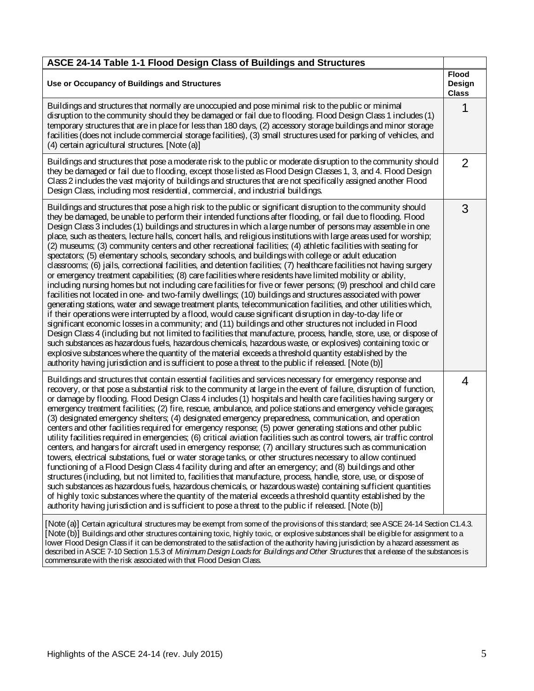| ASCE 24-14 Table 1-1 Flood Design Class of Buildings and Structures                                                                                                                                                                                                                                                                                                                                                                                                                                                                                                                                                                                                                                                                                                                                                                                                                                                                                                                                                                                                                                                                                                                                                                                                                                                                                                                                                                                                                                                                                                                                                                                                                                                                                                                                                                                                                                                                                                                      |                |  |  |  |
|------------------------------------------------------------------------------------------------------------------------------------------------------------------------------------------------------------------------------------------------------------------------------------------------------------------------------------------------------------------------------------------------------------------------------------------------------------------------------------------------------------------------------------------------------------------------------------------------------------------------------------------------------------------------------------------------------------------------------------------------------------------------------------------------------------------------------------------------------------------------------------------------------------------------------------------------------------------------------------------------------------------------------------------------------------------------------------------------------------------------------------------------------------------------------------------------------------------------------------------------------------------------------------------------------------------------------------------------------------------------------------------------------------------------------------------------------------------------------------------------------------------------------------------------------------------------------------------------------------------------------------------------------------------------------------------------------------------------------------------------------------------------------------------------------------------------------------------------------------------------------------------------------------------------------------------------------------------------------------------|----------------|--|--|--|
| Use or Occupancy of Buildings and Structures                                                                                                                                                                                                                                                                                                                                                                                                                                                                                                                                                                                                                                                                                                                                                                                                                                                                                                                                                                                                                                                                                                                                                                                                                                                                                                                                                                                                                                                                                                                                                                                                                                                                                                                                                                                                                                                                                                                                             |                |  |  |  |
| Buildings and structures that normally are unoccupied and pose minimal risk to the public or minimal<br>disruption to the community should they be damaged or fail due to flooding. Flood Design Class 1 includes (1)<br>temporary structures that are in place for less than 180 days, (2) accessory storage buildings and minor storage<br>facilities (does not include commercial storage facilities), (3) small structures used for parking of vehicles, and<br>(4) certain agricultural structures. [Note (a)]                                                                                                                                                                                                                                                                                                                                                                                                                                                                                                                                                                                                                                                                                                                                                                                                                                                                                                                                                                                                                                                                                                                                                                                                                                                                                                                                                                                                                                                                      |                |  |  |  |
| Buildings and structures that pose a moderate risk to the public or moderate disruption to the community should<br>they be damaged or fail due to flooding, except those listed as Flood Design Classes 1, 3, and 4. Flood Design<br>Class 2 includes the vast majority of buildings and structures that are not specifically assigned another Flood<br>Design Class, including most residential, commercial, and industrial buildings.                                                                                                                                                                                                                                                                                                                                                                                                                                                                                                                                                                                                                                                                                                                                                                                                                                                                                                                                                                                                                                                                                                                                                                                                                                                                                                                                                                                                                                                                                                                                                  | $\overline{2}$ |  |  |  |
| Buildings and structures that pose a high risk to the public or significant disruption to the community should<br>they be damaged, be unable to perform their intended functions after flooding, or fail due to flooding. Flood<br>Design Class 3 includes (1) buildings and structures in which a large number of persons may assemble in one<br>place, such as theaters, lecture halls, concert halls, and religious institutions with large areas used for worship;<br>(2) museums; (3) community centers and other recreational facilities; (4) athletic facilities with seating for<br>spectators; (5) elementary schools, secondary schools, and buildings with college or adult education<br>classrooms; (6) jails, correctional facilities, and detention facilities; (7) healthcare facilities not having surgery<br>or emergency treatment capabilities; (8) care facilities where residents have limited mobility or ability,<br>including nursing homes but not including care facilities for five or fewer persons; (9) preschool and child care<br>facilities not located in one- and two-family dwellings; (10) buildings and structures associated with power<br>generating stations, water and sewage treatment plants, telecommunication facilities, and other utilities which,<br>if their operations were interrupted by a flood, would cause significant disruption in day-to-day life or<br>significant economic losses in a community; and (11) buildings and other structures not included in Flood<br>Design Class 4 (including but not limited to facilities that manufacture, process, handle, store, use, or dispose of<br>such substances as hazardous fuels, hazardous chemicals, hazardous waste, or explosives) containing toxic or<br>explosive substances where the quantity of the material exceeds a threshold quantity established by the<br>authority having jurisdiction and is sufficient to pose a threat to the public if released. [Note (b)] | 3              |  |  |  |
| Buildings and structures that contain essential facilities and services necessary for emergency response and<br>recovery, or that pose a substantial risk to the community at large in the event of failure, disruption of function,<br>or damage by flooding. Flood Design Class 4 includes (1) hospitals and health care facilities having surgery or<br>emergency treatment facilities; (2) fire, rescue, ambulance, and police stations and emergency vehicle garages;<br>(3) designated emergency shelters; (4) designated emergency preparedness, communication, and operation<br>centers and other facilities required for emergency response; (5) power generating stations and other public<br>utility facilities required in emergencies; (6) critical aviation facilities such as control towers, air traffic control<br>centers, and hangars for aircraft used in emergency response; (7) ancillary structures such as communication<br>towers, electrical substations, fuel or water storage tanks, or other structures necessary to allow continued<br>functioning of a Flood Design Class 4 facility during and after an emergency; and (8) buildings and other<br>structures (including, but not limited to, facilities that manufacture, process, handle, store, use, or dispose of<br>such substances as hazardous fuels, hazardous chemicals, or hazardous waste) containing sufficient quantities<br>of highly toxic substances where the quantity of the material exceeds a threshold quantity established by the<br>authority having jurisdiction and is sufficient to pose a threat to the public if released. [Note (b)]                                                                                                                                                                                                                                                                                                                                         | 4              |  |  |  |
| [Note (a)] Certain agricultural structures may be exempt from some of the provisions of this standard; see ASCE 24-14 Section C1.4.3.<br>[Note (b)] Buildings and other structures containing toxic, highly toxic, or explosive substances shall be eligible for assignment to a<br>lower Flood Design Class if it can be demonstrated to the satisfaction of the authority having jurisdiction by a hazard assessment as<br>described in ASCE 7-10 Section 1.5.3 of Minimum Design Loads for Buildings and Other Structures that a release of the substances is                                                                                                                                                                                                                                                                                                                                                                                                                                                                                                                                                                                                                                                                                                                                                                                                                                                                                                                                                                                                                                                                                                                                                                                                                                                                                                                                                                                                                         |                |  |  |  |

commensuratewith therisk associated with that Flood Design Class.